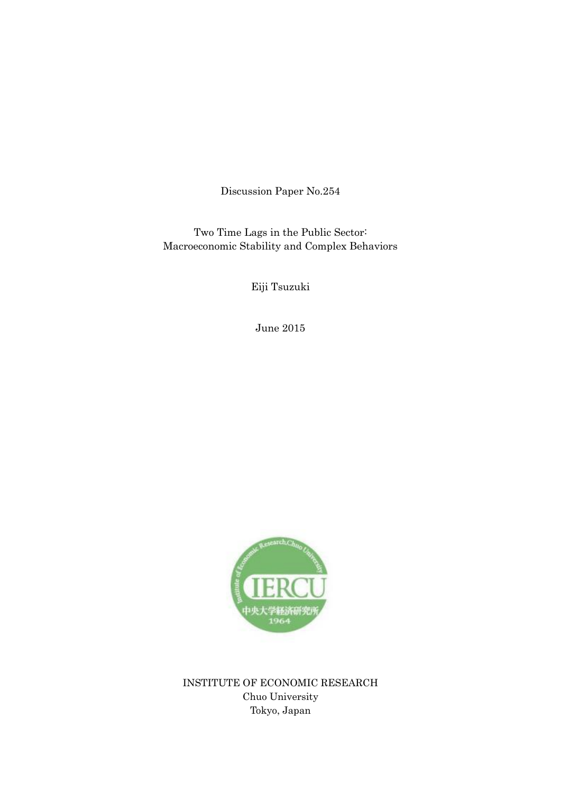Discussion Paper No.254

Two Time Lags in the Public Sector: Macroeconomic Stability and Complex Behaviors

Eiji Tsuzuki

June 2015



INSTITUTE OF ECONOMIC RESEARCH Chuo University Tokyo, Japan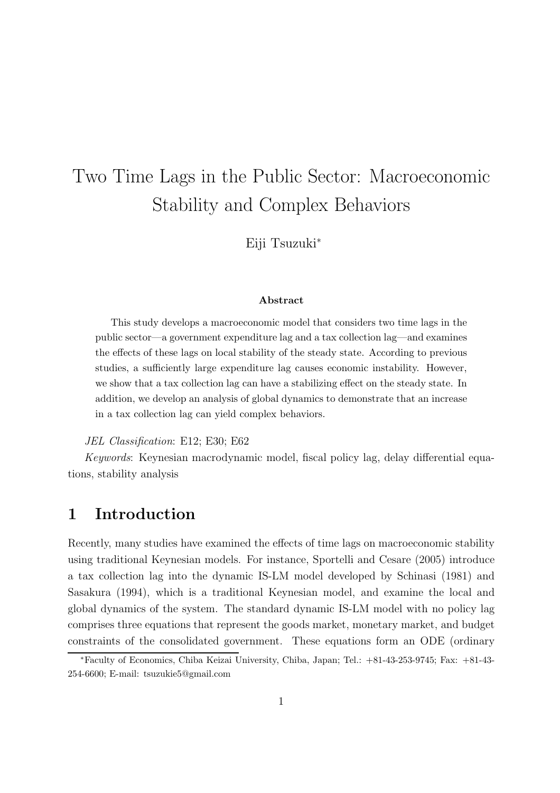# Two Time Lags in the Public Sector: Macroeconomic Stability and Complex Behaviors

Eiji Tsuzuki<sup>∗</sup>

#### Abstract

This study develops a macroeconomic model that considers two time lags in the public sector—a government expenditure lag and a tax collection lag—and examines the effects of these lags on local stability of the steady state. According to previous studies, a sufficiently large expenditure lag causes economic instability. However, we show that a tax collection lag can have a stabilizing effect on the steady state. In addition, we develop an analysis of global dynamics to demonstrate that an increase in a tax collection lag can yield complex behaviors.

JEL Classification: E12; E30; E62

Keywords: Keynesian macrodynamic model, fiscal policy lag, delay differential equations, stability analysis

# 1 Introduction

Recently, many studies have examined the effects of time lags on macroeconomic stability using traditional Keynesian models. For instance, Sportelli and Cesare (2005) introduce a tax collection lag into the dynamic IS-LM model developed by Schinasi (1981) and Sasakura (1994), which is a traditional Keynesian model, and examine the local and global dynamics of the system. The standard dynamic IS-LM model with no policy lag comprises three equations that represent the goods market, monetary market, and budget constraints of the consolidated government. These equations form an ODE (ordinary

<sup>∗</sup>Faculty of Economics, Chiba Keizai University, Chiba, Japan; Tel.: +81-43-253-9745; Fax: +81-43- 254-6600; E-mail: tsuzukie5@gmail.com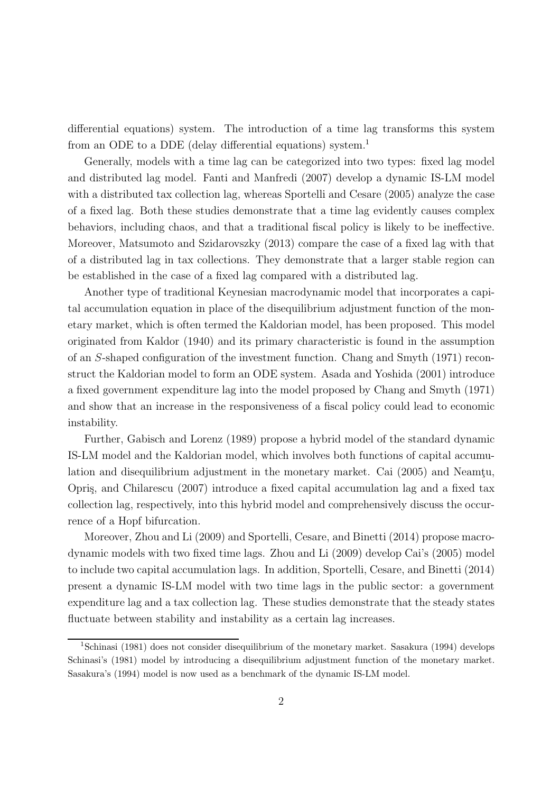differential equations) system. The introduction of a time lag transforms this system from an ODE to a DDE (delay differential equations) system.<sup>1</sup>

Generally, models with a time lag can be categorized into two types: fixed lag model and distributed lag model. Fanti and Manfredi (2007) develop a dynamic IS-LM model with a distributed tax collection lag, whereas Sportelli and Cesare (2005) analyze the case of a fixed lag. Both these studies demonstrate that a time lag evidently causes complex behaviors, including chaos, and that a traditional fiscal policy is likely to be ineffective. Moreover, Matsumoto and Szidarovszky (2013) compare the case of a fixed lag with that of a distributed lag in tax collections. They demonstrate that a larger stable region can be established in the case of a fixed lag compared with a distributed lag.

Another type of traditional Keynesian macrodynamic model that incorporates a capital accumulation equation in place of the disequilibrium adjustment function of the monetary market, which is often termed the Kaldorian model, has been proposed. This model originated from Kaldor (1940) and its primary characteristic is found in the assumption of an S-shaped configuration of the investment function. Chang and Smyth (1971) reconstruct the Kaldorian model to form an ODE system. Asada and Yoshida (2001) introduce a fixed government expenditure lag into the model proposed by Chang and Smyth (1971) and show that an increase in the responsiveness of a fiscal policy could lead to economic instability.

Further, Gabisch and Lorenz (1989) propose a hybrid model of the standard dynamic IS-LM model and the Kaldorian model, which involves both functions of capital accumulation and disequilibrium adjustment in the monetary market. Cai  $(2005)$  and Neamtu, Opris, and Chilarescu (2007) introduce a fixed capital accumulation lag and a fixed tax collection lag, respectively, into this hybrid model and comprehensively discuss the occurrence of a Hopf bifurcation.

Moreover, Zhou and Li (2009) and Sportelli, Cesare, and Binetti (2014) propose macrodynamic models with two fixed time lags. Zhou and Li (2009) develop Cai's (2005) model to include two capital accumulation lags. In addition, Sportelli, Cesare, and Binetti (2014) present a dynamic IS-LM model with two time lags in the public sector: a government expenditure lag and a tax collection lag. These studies demonstrate that the steady states fluctuate between stability and instability as a certain lag increases.

<sup>&</sup>lt;sup>1</sup>Schinasi (1981) does not consider disequilibrium of the monetary market. Sasakura (1994) develops Schinasi's (1981) model by introducing a disequilibrium adjustment function of the monetary market. Sasakura's (1994) model is now used as a benchmark of the dynamic IS-LM model.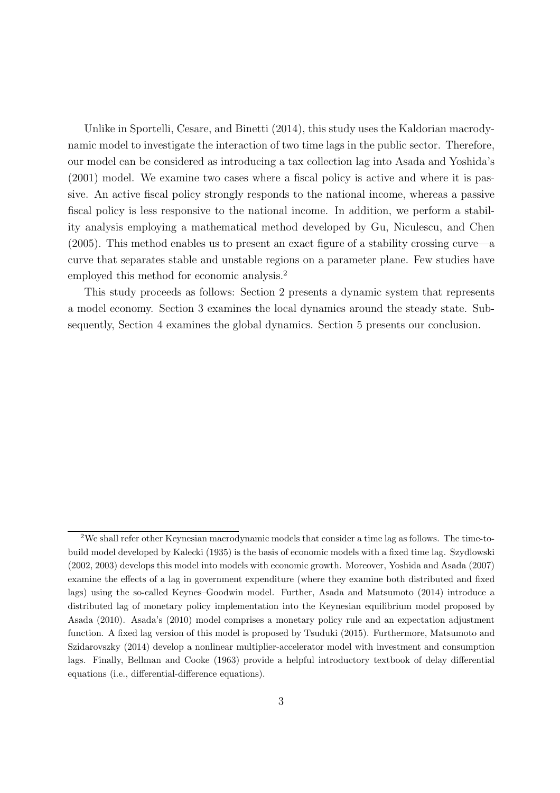Unlike in Sportelli, Cesare, and Binetti (2014), this study uses the Kaldorian macrodynamic model to investigate the interaction of two time lags in the public sector. Therefore, our model can be considered as introducing a tax collection lag into Asada and Yoshida's (2001) model. We examine two cases where a fiscal policy is active and where it is passive. An active fiscal policy strongly responds to the national income, whereas a passive fiscal policy is less responsive to the national income. In addition, we perform a stability analysis employing a mathematical method developed by Gu, Niculescu, and Chen (2005). This method enables us to present an exact figure of a stability crossing curve—a curve that separates stable and unstable regions on a parameter plane. Few studies have employed this method for economic analysis.<sup>2</sup>

This study proceeds as follows: Section 2 presents a dynamic system that represents a model economy. Section 3 examines the local dynamics around the steady state. Subsequently, Section 4 examines the global dynamics. Section 5 presents our conclusion.

<sup>2</sup>We shall refer other Keynesian macrodynamic models that consider a time lag as follows. The time-tobuild model developed by Kalecki (1935) is the basis of economic models with a fixed time lag. Szydlowski (2002, 2003) develops this model into models with economic growth. Moreover, Yoshida and Asada (2007) examine the effects of a lag in government expenditure (where they examine both distributed and fixed lags) using the so-called Keynes–Goodwin model. Further, Asada and Matsumoto (2014) introduce a distributed lag of monetary policy implementation into the Keynesian equilibrium model proposed by Asada (2010). Asada's (2010) model comprises a monetary policy rule and an expectation adjustment function. A fixed lag version of this model is proposed by Tsuduki (2015). Furthermore, Matsumoto and Szidarovszky (2014) develop a nonlinear multiplier-accelerator model with investment and consumption lags. Finally, Bellman and Cooke (1963) provide a helpful introductory textbook of delay differential equations (i.e., differential-difference equations).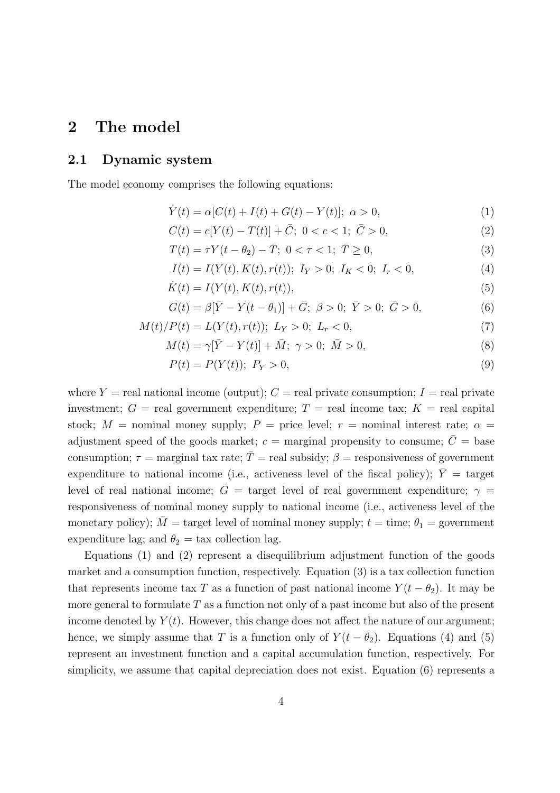# 2 The model

### 2.1 Dynamic system

The model economy comprises the following equations:

$$
\dot{Y}(t) = \alpha [C(t) + I(t) + G(t) - Y(t)]; \ \alpha > 0, \tag{1}
$$

$$
C(t) = c[Y(t) - T(t)] + \bar{C}; \ 0 < c < 1; \ \bar{C} > 0,
$$
\n(2)

 $T(t) = \tau Y(t - \theta_2) - \bar{T}$ ;  $0 < \tau < 1$ ;  $\bar{T} \ge 0$ , (3)

$$
I(t) = I(Y(t), K(t), r(t)); I_Y > 0; I_K < 0; I_r < 0,
$$
\n(4)

$$
\dot{K}(t) = I(Y(t), K(t), r(t)),
$$
\n(5)

$$
G(t) = \beta[\bar{Y} - Y(t - \theta_1)] + \bar{G}; \ \beta > 0; \ \bar{Y} > 0; \ \bar{G} > 0,
$$
\n(6)

$$
M(t)/P(t) = L(Y(t), r(t)); L_Y > 0; L_r < 0,
$$
\n(7)

$$
M(t) = \gamma[\bar{Y} - Y(t)] + \bar{M}; \ \gamma > 0; \ \bar{M} > 0,
$$
\n(8)

$$
P(t) = P(Y(t)); \ P_Y > 0,
$$
\n(9)

where  $Y =$  real national income (output);  $C =$  real private consumption;  $I =$  real private investment;  $G = \text{real government expenditure}; T = \text{real income tax}; K = \text{real capital}$ stock;  $M =$  nominal money supply;  $P =$  price level;  $r =$  nominal interest rate;  $\alpha =$ adjustment speed of the goods market;  $c =$  marginal propensity to consume;  $\overline{C} =$  base consumption;  $\tau$  = marginal tax rate;  $\bar{T}$  = real subsidy;  $\beta$  = responsiveness of government expenditure to national income (i.e., activeness level of the fiscal policy);  $\overline{Y} =$  target level of real national income;  $\bar{G}$  = target level of real government expenditure;  $\gamma$  = responsiveness of nominal money supply to national income (i.e., activeness level of the monetary policy);  $\overline{M}$  = target level of nominal money supply;  $t =$  time;  $\theta_1$  = government expenditure lag; and  $\theta_2 = \text{tax collection lag.}$ 

Equations (1) and (2) represent a disequilibrium adjustment function of the goods market and a consumption function, respectively. Equation (3) is a tax collection function that represents income tax T as a function of past national income  $Y(t - \theta_2)$ . It may be more general to formulate  $T$  as a function not only of a past income but also of the present income denoted by  $Y(t)$ . However, this change does not affect the nature of our argument; hence, we simply assume that T is a function only of  $Y(t - \theta_2)$ . Equations (4) and (5) represent an investment function and a capital accumulation function, respectively. For simplicity, we assume that capital depreciation does not exist. Equation (6) represents a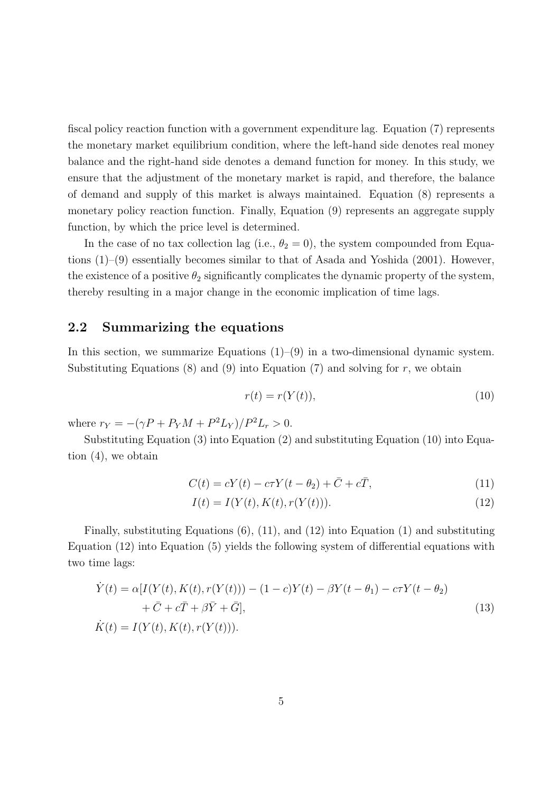fiscal policy reaction function with a government expenditure lag. Equation (7) represents the monetary market equilibrium condition, where the left-hand side denotes real money balance and the right-hand side denotes a demand function for money. In this study, we ensure that the adjustment of the monetary market is rapid, and therefore, the balance of demand and supply of this market is always maintained. Equation (8) represents a monetary policy reaction function. Finally, Equation (9) represents an aggregate supply function, by which the price level is determined.

In the case of no tax collection lag (i.e.,  $\theta_2 = 0$ ), the system compounded from Equations (1)–(9) essentially becomes similar to that of Asada and Yoshida (2001). However, the existence of a positive  $\theta_2$  significantly complicates the dynamic property of the system, thereby resulting in a major change in the economic implication of time lags.

### 2.2 Summarizing the equations

In this section, we summarize Equations  $(1)$ – $(9)$  in a two-dimensional dynamic system. Substituting Equations  $(8)$  and  $(9)$  into Equation  $(7)$  and solving for r, we obtain

$$
r(t) = r(Y(t)),\tag{10}
$$

where  $r_Y = -(\gamma P + P_Y M + P^2 L_Y)/P^2 L_r > 0.$ 

Substituting Equation (3) into Equation (2) and substituting Equation (10) into Equation (4), we obtain

$$
C(t) = cY(t) - c\tau Y(t - \theta_2) + \bar{C} + c\bar{T},\tag{11}
$$

$$
I(t) = I(Y(t), K(t), r(Y(t))).
$$
\n(12)

Finally, substituting Equations  $(6)$ ,  $(11)$ , and  $(12)$  into Equation  $(1)$  and substituting Equation (12) into Equation (5) yields the following system of differential equations with two time lags:

$$
\dot{Y}(t) = \alpha [I(Y(t), K(t), r(Y(t))) - (1 - c)Y(t) - \beta Y(t - \theta_1) - c\tau Y(t - \theta_2) \n+ \bar{C} + c\bar{T} + \beta \bar{Y} + \bar{G}],
$$
\n
$$
\dot{K}(t) = I(Y(t), K(t), r(Y(t))).
$$
\n(13)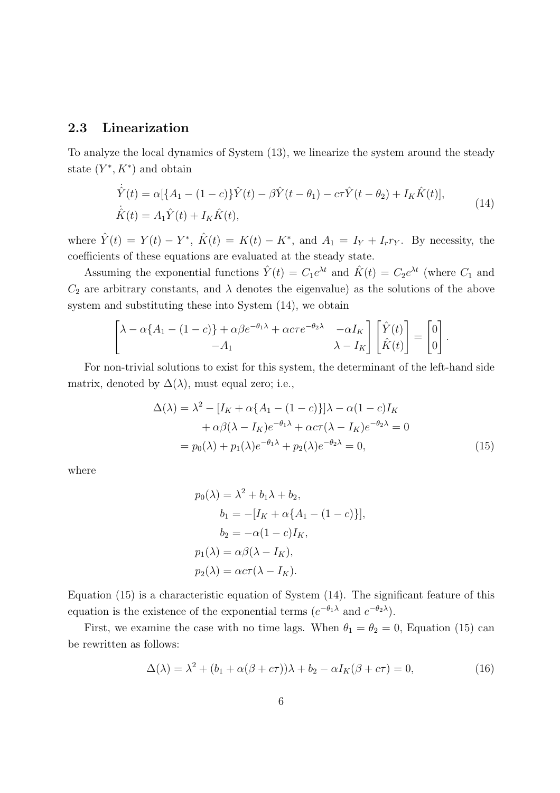#### 2.3 Linearization

To analyze the local dynamics of System (13), we linearize the system around the steady state  $(Y^*, K^*)$  and obtain

$$
\dot{\hat{Y}}(t) = \alpha [\{A_1 - (1 - c)\} \hat{Y}(t) - \beta \hat{Y}(t - \theta_1) - c\tau \hat{Y}(t - \theta_2) + I_K \hat{K}(t)],
$$
\n
$$
\dot{\hat{K}}(t) = A_1 \hat{Y}(t) + I_K \hat{K}(t),
$$
\n(14)

where  $\hat{Y}(t) = Y(t) - Y^*$ ,  $\hat{K}(t) = K(t) - K^*$ , and  $A_1 = I_Y + I_r r_Y$ . By necessity, the coefficients of these equations are evaluated at the steady state.

Assuming the exponential functions  $\hat{Y}(t) = C_1 e^{\lambda t}$  and  $\hat{K}(t) = C_2 e^{\lambda t}$  (where  $C_1$  and  $C_2$  are arbitrary constants, and  $\lambda$  denotes the eigenvalue) as the solutions of the above system and substituting these into System (14), we obtain

$$
\begin{bmatrix}\n\lambda - \alpha \{A_1 - (1 - c)\} + \alpha \beta e^{-\theta_1 \lambda} + \alpha c \tau e^{-\theta_2 \lambda} & -\alpha I_K \\
-A_1 & \lambda - I_K\n\end{bmatrix}\n\begin{bmatrix}\n\hat{Y}(t) \\
\hat{K}(t)\n\end{bmatrix} =\n\begin{bmatrix}\n0 \\
0\n\end{bmatrix}.
$$

For non-trivial solutions to exist for this system, the determinant of the left-hand side matrix, denoted by  $\Delta(\lambda)$ , must equal zero; i.e.,

$$
\Delta(\lambda) = \lambda^2 - [I_K + \alpha \{A_1 - (1 - c)\}] \lambda - \alpha (1 - c) I_K
$$
  
+ 
$$
\alpha \beta (\lambda - I_K) e^{-\theta_1 \lambda} + \alpha c \tau (\lambda - I_K) e^{-\theta_2 \lambda} = 0
$$
  
= 
$$
p_0(\lambda) + p_1(\lambda) e^{-\theta_1 \lambda} + p_2(\lambda) e^{-\theta_2 \lambda} = 0,
$$
 (15)

where

$$
p_0(\lambda) = \lambda^2 + b_1 \lambda + b_2,
$$
  
\n
$$
b_1 = -[I_K + \alpha \{A_1 - (1 - c)\}],
$$
  
\n
$$
b_2 = -\alpha (1 - c)I_K,
$$
  
\n
$$
p_1(\lambda) = \alpha \beta (\lambda - I_K),
$$
  
\n
$$
p_2(\lambda) = \alpha c \tau (\lambda - I_K).
$$

Equation (15) is a characteristic equation of System (14). The significant feature of this equation is the existence of the exponential terms  $(e^{-\theta_1 \lambda} \text{ and } e^{-\theta_2 \lambda}).$ 

First, we examine the case with no time lags. When  $\theta_1 = \theta_2 = 0$ , Equation (15) can be rewritten as follows:

$$
\Delta(\lambda) = \lambda^2 + (b_1 + \alpha(\beta + c\tau))\lambda + b_2 - \alpha I_K(\beta + c\tau) = 0,
$$
\n(16)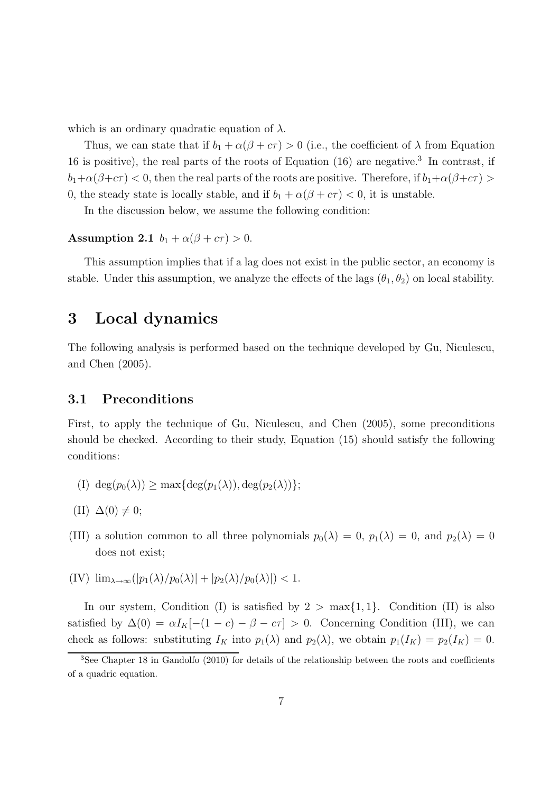which is an ordinary quadratic equation of  $\lambda$ .

Thus, we can state that if  $b_1 + \alpha(\beta + c\tau) > 0$  (i.e., the coefficient of  $\lambda$  from Equation 16 is positive), the real parts of the roots of Equation (16) are negative.<sup>3</sup> In contrast, if  $b_1+\alpha(\beta+c\tau) < 0$ , then the real parts of the roots are positive. Therefore, if  $b_1+\alpha(\beta+c\tau) > 0$ 0, the steady state is locally stable, and if  $b_1 + \alpha(\beta + c\tau) < 0$ , it is unstable.

In the discussion below, we assume the following condition:

Assumption 2.1  $b_1 + \alpha(\beta + c\tau) > 0$ .

This assumption implies that if a lag does not exist in the public sector, an economy is stable. Under this assumption, we analyze the effects of the lags  $(\theta_1, \theta_2)$  on local stability.

### 3 Local dynamics

The following analysis is performed based on the technique developed by Gu, Niculescu, and Chen (2005).

### 3.1 Preconditions

First, to apply the technique of Gu, Niculescu, and Chen (2005), some preconditions should be checked. According to their study, Equation (15) should satisfy the following conditions:

- (I) deg $(p_0(\lambda)) \ge \max\{\deg(p_1(\lambda)), \deg(p_2(\lambda))\};$
- $(II) \Delta(0) \neq 0;$
- (III) a solution common to all three polynomials  $p_0(\lambda) = 0$ ,  $p_1(\lambda) = 0$ , and  $p_2(\lambda) = 0$ does not exist;
- $\text{(IV)} \lim_{\lambda \to \infty} (|p_1(\lambda)/p_0(\lambda)| + |p_2(\lambda)/p_0(\lambda)|) < 1.$

In our system, Condition (I) is satisfied by  $2 > max\{1, 1\}$ . Condition (II) is also satisfied by  $\Delta(0) = \alpha I_K[-(1 - c) - \beta - c\tau] > 0$ . Concerning Condition (III), we can check as follows: substituting  $I_K$  into  $p_1(\lambda)$  and  $p_2(\lambda)$ , we obtain  $p_1(I_K) = p_2(I_K) = 0$ .

<sup>&</sup>lt;sup>3</sup>See Chapter 18 in Gandolfo (2010) for details of the relationship between the roots and coefficients of a quadric equation.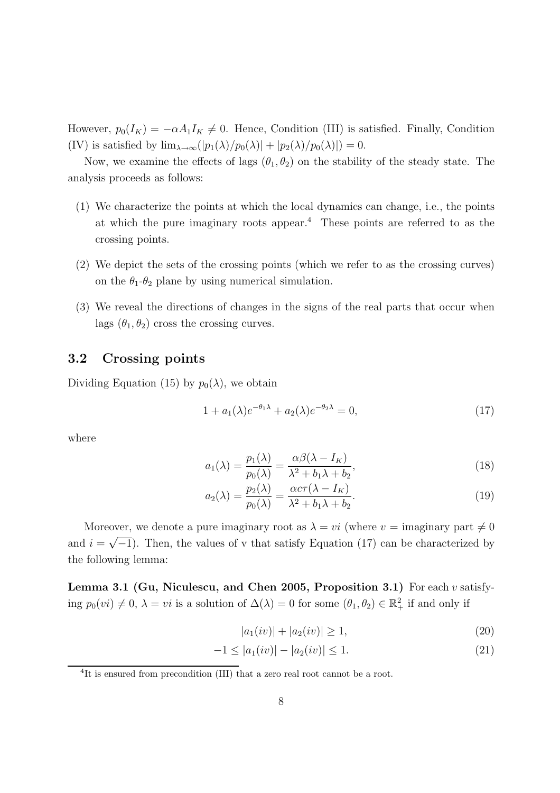However,  $p_0(I_K) = -\alpha A_1 I_K \neq 0$ . Hence, Condition (III) is satisfied. Finally, Condition (IV) is satisfied by  $\lim_{\lambda \to \infty} (|p_1(\lambda)/p_0(\lambda)| + |p_2(\lambda)/p_0(\lambda)|) = 0.$ 

Now, we examine the effects of lags  $(\theta_1, \theta_2)$  on the stability of the steady state. The analysis proceeds as follows:

- (1) We characterize the points at which the local dynamics can change, i.e., the points at which the pure imaginary roots appear.<sup>4</sup> These points are referred to as the crossing points.
- (2) We depict the sets of the crossing points (which we refer to as the crossing curves) on the  $\theta_1$ - $\theta_2$  plane by using numerical simulation.
- (3) We reveal the directions of changes in the signs of the real parts that occur when lags  $(\theta_1, \theta_2)$  cross the crossing curves.

### 3.2 Crossing points

Dividing Equation (15) by  $p_0(\lambda)$ , we obtain

$$
1 + a_1(\lambda)e^{-\theta_1\lambda} + a_2(\lambda)e^{-\theta_2\lambda} = 0,
$$
\n(17)

where

$$
a_1(\lambda) = \frac{p_1(\lambda)}{p_0(\lambda)} = \frac{\alpha \beta(\lambda - I_K)}{\lambda^2 + b_1 \lambda + b_2},
$$
\n(18)

$$
a_2(\lambda) = \frac{p_2(\lambda)}{p_0(\lambda)} = \frac{\alpha c \tau(\lambda - I_K)}{\lambda^2 + b_1 \lambda + b_2}.
$$
\n(19)

Moreover, we denote a pure imaginary root as  $\lambda = vi$  (where  $v =$  imaginary part  $\neq 0$ and  $i = \sqrt{-1}$ . Then, the values of v that satisfy Equation (17) can be characterized by the following lemma:

**Lemma 3.1 (Gu, Niculescu, and Chen 2005, Proposition 3.1)** For each  $v$  satisfying  $p_0(v_i) \neq 0$ ,  $\lambda = vi$  is a solution of  $\Delta(\lambda) = 0$  for some  $(\theta_1, \theta_2) \in \mathbb{R}^2_+$  if and only if

$$
|a_1(iv)| + |a_2(iv)| \ge 1,
$$
\n(20)

$$
-1 \le |a_1(iv)| - |a_2(iv)| \le 1. \tag{21}
$$

<sup>&</sup>lt;sup>4</sup>It is ensured from precondition (III) that a zero real root cannot be a root.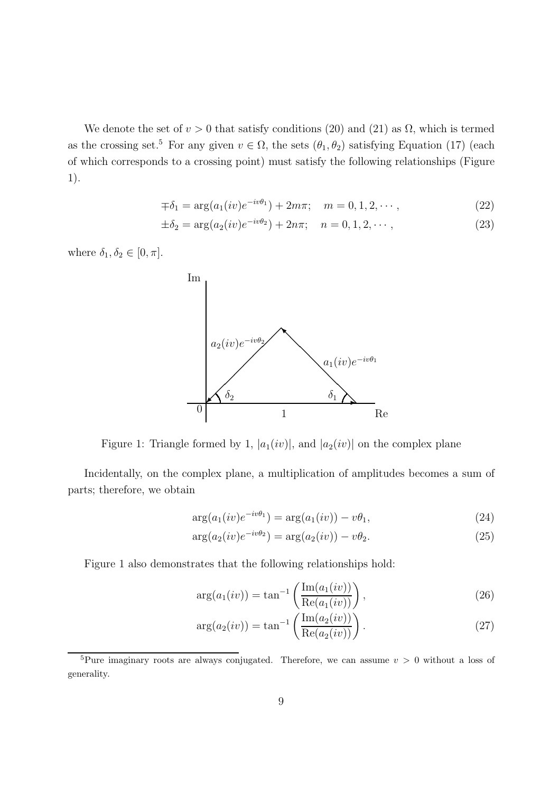We denote the set of  $v > 0$  that satisfy conditions (20) and (21) as  $\Omega$ , which is termed as the crossing set.<sup>5</sup> For any given  $v \in \Omega$ , the sets  $(\theta_1, \theta_2)$  satisfying Equation (17) (each of which corresponds to a crossing point) must satisfy the following relationships (Figure 1).

$$
\mp \delta_1 = \arg(a_1(iv)e^{-iv\theta_1}) + 2m\pi; \quad m = 0, 1, 2, \cdots,
$$
\n(22)

$$
\pm \delta_2 = \arg(a_2(iv)e^{-iv\theta_2}) + 2n\pi; \quad n = 0, 1, 2, \cdots,
$$
\n(23)

where  $\delta_1, \delta_2 \in [0, \pi]$ .



Figure 1: Triangle formed by 1,  $|a_1(iv)|$ , and  $|a_2(iv)|$  on the complex plane

Incidentally, on the complex plane, a multiplication of amplitudes becomes a sum of parts; therefore, we obtain

$$
\arg(a_1(iv)e^{-iv\theta_1}) = \arg(a_1(iv)) - v\theta_1,
$$
\n(24)

$$
\arg(a_2(iv)e^{-iv\theta_2}) = \arg(a_2(iv)) - v\theta_2.
$$
\n(25)

Figure 1 also demonstrates that the following relationships hold:

$$
\arg(a_1(iv)) = \tan^{-1}\left(\frac{\text{Im}(a_1(iv))}{\text{Re}(a_1(iv))}\right),\tag{26}
$$

$$
\arg(a_2(iv)) = \tan^{-1}\left(\frac{\text{Im}(a_2(iv))}{\text{Re}(a_2(iv))}\right).
$$
 (27)

<sup>&</sup>lt;sup>5</sup>Pure imaginary roots are always conjugated. Therefore, we can assume  $v > 0$  without a loss of generality.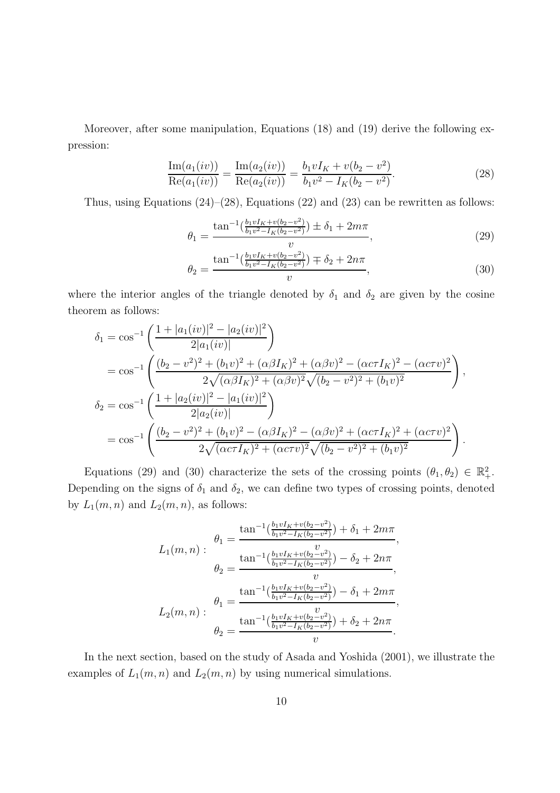Moreover, after some manipulation, Equations (18) and (19) derive the following expression:

$$
\frac{\text{Im}(a_1(iv))}{\text{Re}(a_1(iv))} = \frac{\text{Im}(a_2(iv))}{\text{Re}(a_2(iv))} = \frac{b_1 v I_K + v(b_2 - v^2)}{b_1 v^2 - I_K(b_2 - v^2)}.
$$
\n(28)

Thus, using Equations  $(24)$ – $(28)$ , Equations  $(22)$  and  $(23)$  can be rewritten as follows:

$$
\theta_1 = \frac{\tan^{-1}\left(\frac{b_1 v I_K + v(b_2 - v^2)}{b_1 v^2 - I_K(b_2 - v^2)}\right) \pm \delta_1 + 2m\pi}{v},\tag{29}
$$

$$
\theta_2 = \frac{\tan^{-1}\left(\frac{b_1 v I_K + v(b_2 - v^2)}{b_1 v^2 - I_K(b_2 - v^2)}\right) \mp \delta_2 + 2n\pi}{v},\tag{30}
$$

where the interior angles of the triangle denoted by  $\delta_1$  and  $\delta_2$  are given by the cosine theorem as follows:

$$
\delta_1 = \cos^{-1}\left(\frac{1+|a_1(iv)|^2 - |a_2(iv)|^2}{2|a_1(iv)|}\right)
$$
  
\n
$$
= \cos^{-1}\left(\frac{(b_2 - v^2)^2 + (b_1v)^2 + (\alpha\beta I_K)^2 + (\alpha\beta v)^2 - (\alpha c\tau I_K)^2 - (\alpha c\tau v)^2}{2\sqrt{(\alpha\beta I_K)^2 + (\alpha\beta v)^2}\sqrt{(b_2 - v^2)^2 + (b_1v)^2}}\right),
$$
  
\n
$$
\delta_2 = \cos^{-1}\left(\frac{1+|a_2(iv)|^2 - |a_1(iv)|^2}{2|a_2(iv)|}\right)
$$
  
\n
$$
= \cos^{-1}\left(\frac{(b_2 - v^2)^2 + (b_1v)^2 - (\alpha\beta I_K)^2 - (\alpha\beta v)^2 + (\alpha c\tau I_K)^2 + (\alpha c\tau v)^2}{2\sqrt{(\alpha c\tau I_K)^2 + (\alpha c\tau v)^2}\sqrt{(b_2 - v^2)^2 + (b_1v)^2}}\right).
$$

Equations (29) and (30) characterize the sets of the crossing points  $(\theta_1, \theta_2) \in \mathbb{R}^2_+$ . Depending on the signs of  $\delta_1$  and  $\delta_2$ , we can define two types of crossing points, denoted by  $L_1(m, n)$  and  $L_2(m, n)$ , as follows:

$$
L_1(m, n) : \begin{aligned} \theta_1 &= \frac{\tan^{-1}(\frac{b_1 v I_K + v(b_2 - v^2)}{b_1 v^2 - I_K(b_2 - v^2)}) + \delta_1 + 2m\pi}{v}, \\ \theta_2 &= \frac{\tan^{-1}(\frac{b_1 v I_K + v(b_2 - v^2)}{b_1 v^2 - I_K(b_2 - v^2)}) - \delta_2 + 2n\pi}{v}, \\ \theta_1 &= \frac{\tan^{-1}(\frac{b_1 v I_K + v(b_2 - v^2)}{b_1 v^2 - I_K(b_2 - v^2)}) - \delta_1 + 2m\pi}{v}, \\ \theta_2 &= \frac{\tan^{-1}(\frac{b_1 v I_K + v(b_2 - v^2)}{b_1 v^2 - I_K(b_2 - v^2)}) + \delta_2 + 2n\pi}{v}. \end{aligned}
$$

In the next section, based on the study of Asada and Yoshida (2001), we illustrate the examples of  $L_1(m, n)$  and  $L_2(m, n)$  by using numerical simulations.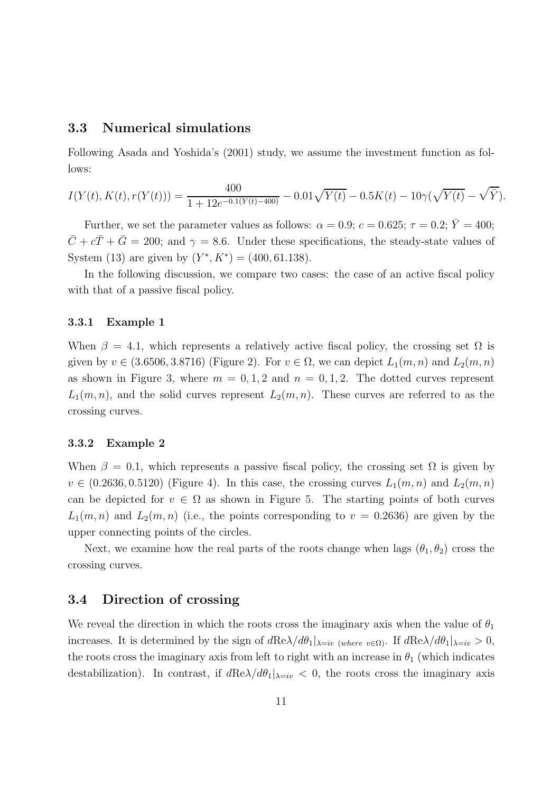### 3.3 Numerical simulations

Following Asada and Yoshida's (2001) study, we assume the investment function as follows:

$$
I(Y(t), K(t), r(Y(t))) = \frac{400}{1 + 12e^{-0.1(Y(t) - 400)}} - 0.01\sqrt{Y(t)} - 0.5K(t) - 10\gamma(\sqrt{Y(t)} - \sqrt{\bar{Y}}).
$$

Further, we set the parameter values as follows:  $\alpha = 0.9$ ;  $c = 0.625$ ;  $\tau = 0.2$ ;  $\overline{Y} = 400$ ;  $\overline{C} + c\overline{T} + \overline{G} = 200$ ; and  $\gamma = 8.6$ . Under these specifications, the steady-state values of System (13) are given by  $(Y^*, K^*) = (400, 61.138)$ .

In the following discussion, we compare two cases: the case of an active fiscal policy with that of a passive fiscal policy.

#### 3.3.1 Example 1

When  $\beta = 4.1$ , which represents a relatively active fiscal policy, the crossing set  $\Omega$  is given by  $v \in (3.6506, 3.8716)$  (Figure 2). For  $v \in \Omega$ , we can depict  $L_1(m, n)$  and  $L_2(m, n)$ as shown in Figure 3, where  $m = 0, 1, 2$  and  $n = 0, 1, 2$ . The dotted curves represent  $L_1(m, n)$ , and the solid curves represent  $L_2(m, n)$ . These curves are referred to as the crossing curves.

#### 3.3.2 Example 2

When  $\beta = 0.1$ , which represents a passive fiscal policy, the crossing set  $\Omega$  is given by  $v \in (0.2636, 0.5120)$  (Figure 4). In this case, the crossing curves  $L_1(m, n)$  and  $L_2(m, n)$ can be depicted for  $v \in \Omega$  as shown in Figure 5. The starting points of both curves  $L_1(m, n)$  and  $L_2(m, n)$  (i.e., the points corresponding to  $v = 0.2636$ ) are given by the upper connecting points of the circles.

Next, we examine how the real parts of the roots change when lags  $(\theta_1, \theta_2)$  cross the crossing curves.

### 3.4 Direction of crossing

We reveal the direction in which the roots cross the imaginary axis when the value of  $\theta_1$ increases. It is determined by the sign of  $d\text{Re}\lambda/d\theta_1|_{\lambda=iv}$  (where  $v \in \Omega$ ). If  $d\text{Re}\lambda/d\theta_1|_{\lambda=iv} > 0$ , the roots cross the imaginary axis from left to right with an increase in  $\theta_1$  (which indicates destabilization). In contrast, if  $d\text{Re}\lambda/d\theta_1|_{\lambda=iv} < 0$ , the roots cross the imaginary axis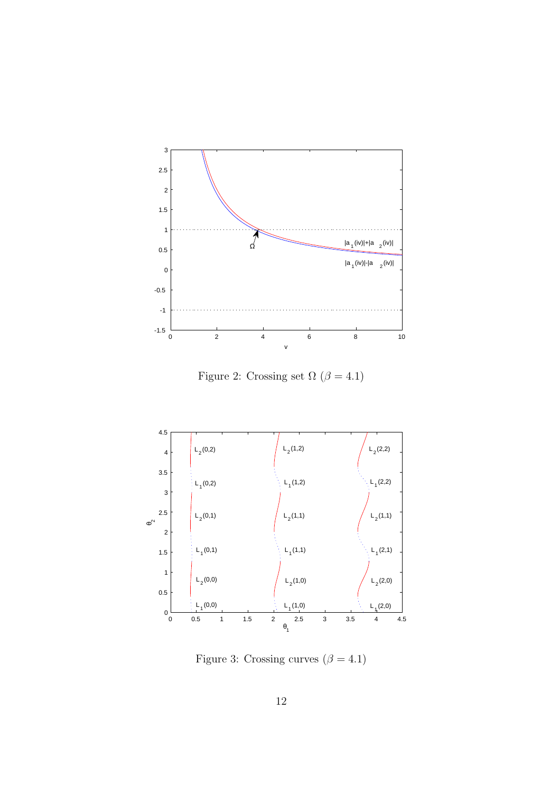

Figure 2: Crossing set  $\Omega$   $(\beta=4.1)$ 



Figure 3: Crossing curves  $(\beta = 4.1)$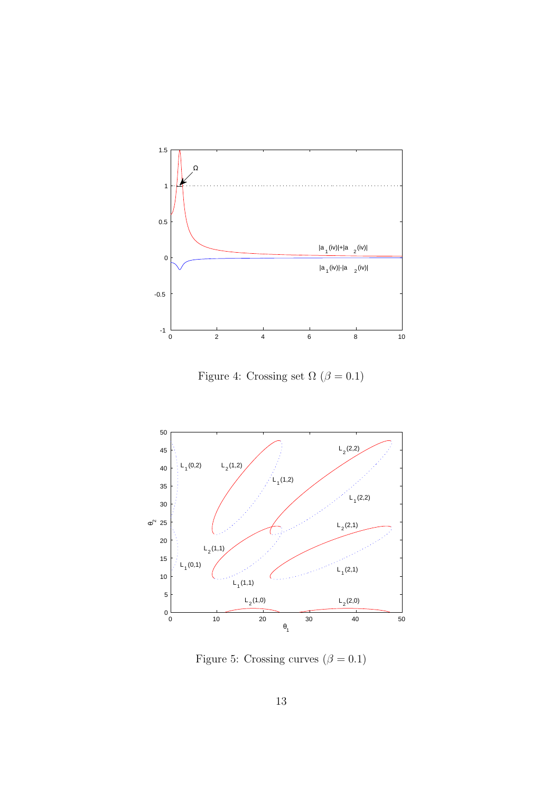

Figure 4: Crossing set  $\Omega$  ( $\beta = 0.1$ )



Figure 5: Crossing curves  $(\beta = 0.1)$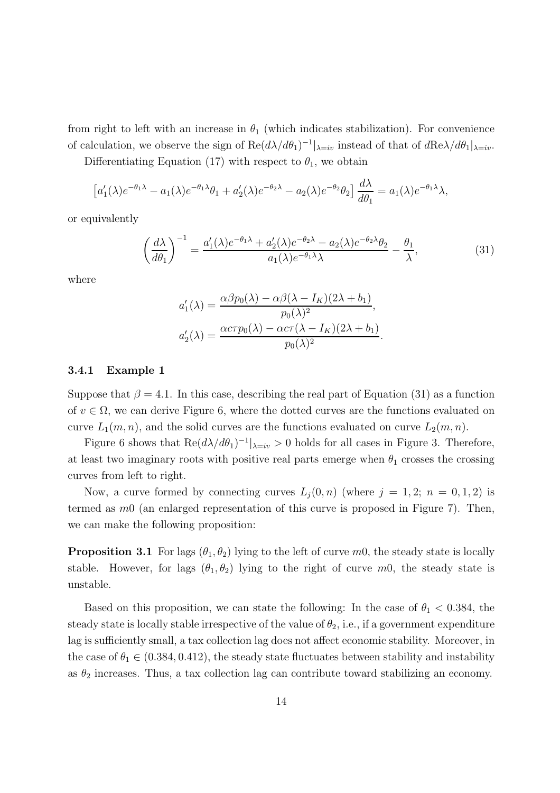from right to left with an increase in  $\theta_1$  (which indicates stabilization). For convenience of calculation, we observe the sign of  $\text{Re}(d\lambda/d\theta_1)^{-1}|_{\lambda=iv}$  instead of that of  $d\text{Re}\lambda/d\theta_1|_{\lambda=iv}$ .

Differentiating Equation (17) with respect to  $\theta_1$ , we obtain

$$
\left[a'_1(\lambda)e^{-\theta_1\lambda}-a_1(\lambda)e^{-\theta_1\lambda}\theta_1+a'_2(\lambda)e^{-\theta_2\lambda}-a_2(\lambda)e^{-\theta_2}\theta_2\right]\frac{d\lambda}{d\theta_1}=a_1(\lambda)e^{-\theta_1\lambda}\lambda,
$$

or equivalently

$$
\left(\frac{d\lambda}{d\theta_1}\right)^{-1} = \frac{a_1'(\lambda)e^{-\theta_1\lambda} + a_2'(\lambda)e^{-\theta_2\lambda} - a_2(\lambda)e^{-\theta_2\lambda}\theta_2}{a_1(\lambda)e^{-\theta_1\lambda}\lambda} - \frac{\theta_1}{\lambda},
$$
\n(31)

where

$$
a'_1(\lambda) = \frac{\alpha \beta p_0(\lambda) - \alpha \beta (\lambda - I_K)(2\lambda + b_1)}{p_0(\lambda)^2},
$$
  

$$
a'_2(\lambda) = \frac{\alpha \text{CT} p_0(\lambda) - \alpha \text{CT}(\lambda - I_K)(2\lambda + b_1)}{p_0(\lambda)^2}.
$$

#### 3.4.1 Example 1

Suppose that  $\beta = 4.1$ . In this case, describing the real part of Equation (31) as a function of  $v \in \Omega$ , we can derive Figure 6, where the dotted curves are the functions evaluated on curve  $L_1(m, n)$ , and the solid curves are the functions evaluated on curve  $L_2(m, n)$ .

Figure 6 shows that  $\text{Re}(d\lambda/d\theta_1)^{-1}|_{\lambda=iv} > 0$  holds for all cases in Figure 3. Therefore, at least two imaginary roots with positive real parts emerge when  $\theta_1$  crosses the crossing curves from left to right.

Now, a curve formed by connecting curves  $L_i(0, n)$  (where  $j = 1, 2; n = 0, 1, 2$ ) is termed as m0 (an enlarged representation of this curve is proposed in Figure 7). Then, we can make the following proposition:

**Proposition 3.1** For lags  $(\theta_1, \theta_2)$  lying to the left of curve m0, the steady state is locally stable. However, for lags  $(\theta_1, \theta_2)$  lying to the right of curve m0, the steady state is unstable.

Based on this proposition, we can state the following: In the case of  $\theta_1 < 0.384$ , the steady state is locally stable irrespective of the value of  $\theta_2$ , i.e., if a government expenditure lag is sufficiently small, a tax collection lag does not affect economic stability. Moreover, in the case of  $\theta_1 \in (0.384, 0.412)$ , the steady state fluctuates between stability and instability as  $\theta_2$  increases. Thus, a tax collection lag can contribute toward stabilizing an economy.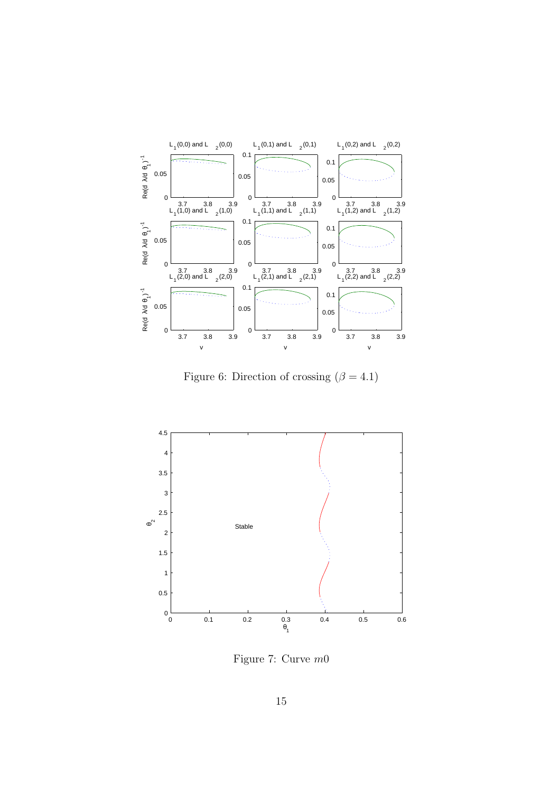

Figure 6: Direction of crossing  $(\beta = 4.1)$ 



Figure 7: Curve m0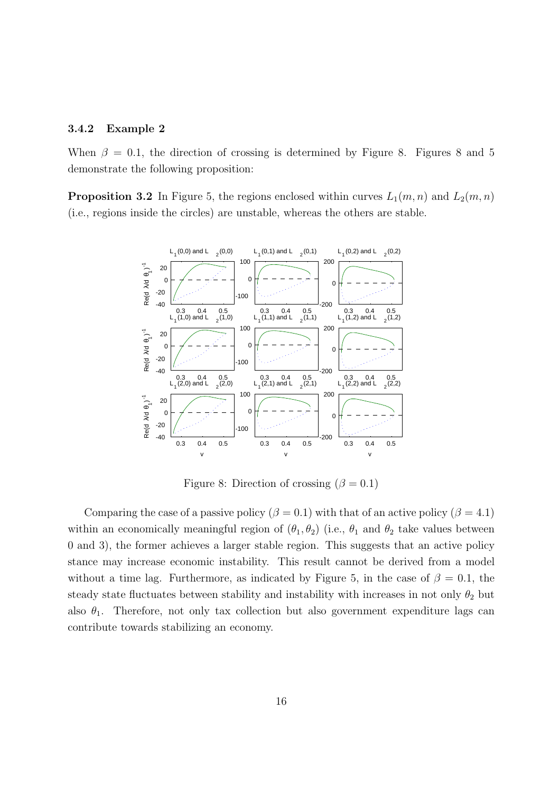#### 3.4.2 Example 2

When  $\beta = 0.1$ , the direction of crossing is determined by Figure 8. Figures 8 and 5 demonstrate the following proposition:

**Proposition 3.2** In Figure 5, the regions enclosed within curves  $L_1(m, n)$  and  $L_2(m, n)$ (i.e., regions inside the circles) are unstable, whereas the others are stable.



Figure 8: Direction of crossing ( $\beta = 0.1$ )

Comparing the case of a passive policy ( $\beta = 0.1$ ) with that of an active policy ( $\beta = 4.1$ ) within an economically meaningful region of  $(\theta_1, \theta_2)$  (i.e.,  $\theta_1$  and  $\theta_2$  take values between 0 and 3), the former achieves a larger stable region. This suggests that an active policy stance may increase economic instability. This result cannot be derived from a model without a time lag. Furthermore, as indicated by Figure 5, in the case of  $\beta = 0.1$ , the steady state fluctuates between stability and instability with increases in not only  $\theta_2$  but also  $\theta_1$ . Therefore, not only tax collection but also government expenditure lags can contribute towards stabilizing an economy.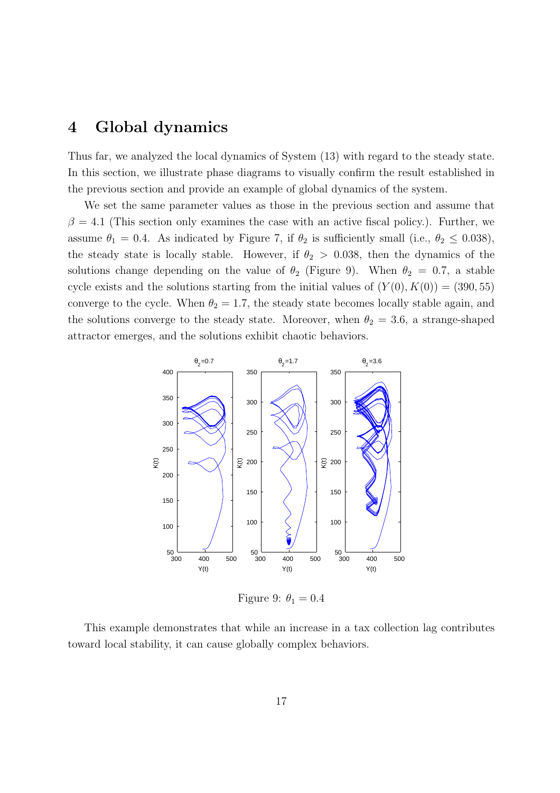# 4 Global dynamics

Thus far, we analyzed the local dynamics of System (13) with regard to the steady state. In this section, we illustrate phase diagrams to visually confirm the result established in the previous section and provide an example of global dynamics of the system.

We set the same parameter values as those in the previous section and assume that  $\beta = 4.1$  (This section only examines the case with an active fiscal policy.). Further, we assume  $\theta_1 = 0.4$ . As indicated by Figure 7, if  $\theta_2$  is sufficiently small (i.e.,  $\theta_2 \leq 0.038$ ), the steady state is locally stable. However, if  $\theta_2 > 0.038$ , then the dynamics of the solutions change depending on the value of  $\theta_2$  (Figure 9). When  $\theta_2 = 0.7$ , a stable cycle exists and the solutions starting from the initial values of  $(Y(0), K(0)) = (390, 55)$ converge to the cycle. When  $\theta_2 = 1.7$ , the steady state becomes locally stable again, and the solutions converge to the steady state. Moreover, when  $\theta_2 = 3.6$ , a strange-shaped attractor emerges, and the solutions exhibit chaotic behaviors.



Figure 9:  $\theta_1 = 0.4$ 

This example demonstrates that while an increase in a tax collection lag contributes toward local stability, it can cause globally complex behaviors.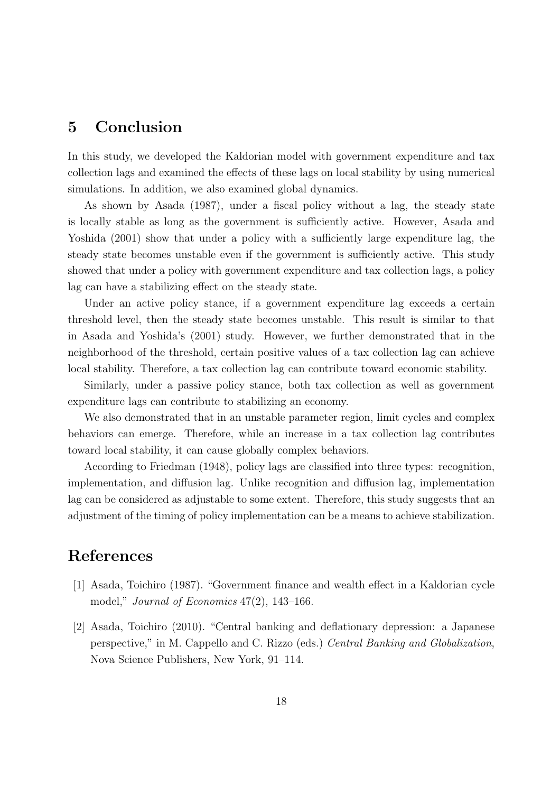## 5 Conclusion

In this study, we developed the Kaldorian model with government expenditure and tax collection lags and examined the effects of these lags on local stability by using numerical simulations. In addition, we also examined global dynamics.

As shown by Asada (1987), under a fiscal policy without a lag, the steady state is locally stable as long as the government is sufficiently active. However, Asada and Yoshida (2001) show that under a policy with a sufficiently large expenditure lag, the steady state becomes unstable even if the government is sufficiently active. This study showed that under a policy with government expenditure and tax collection lags, a policy lag can have a stabilizing effect on the steady state.

Under an active policy stance, if a government expenditure lag exceeds a certain threshold level, then the steady state becomes unstable. This result is similar to that in Asada and Yoshida's (2001) study. However, we further demonstrated that in the neighborhood of the threshold, certain positive values of a tax collection lag can achieve local stability. Therefore, a tax collection lag can contribute toward economic stability.

Similarly, under a passive policy stance, both tax collection as well as government expenditure lags can contribute to stabilizing an economy.

We also demonstrated that in an unstable parameter region, limit cycles and complex behaviors can emerge. Therefore, while an increase in a tax collection lag contributes toward local stability, it can cause globally complex behaviors.

According to Friedman (1948), policy lags are classified into three types: recognition, implementation, and diffusion lag. Unlike recognition and diffusion lag, implementation lag can be considered as adjustable to some extent. Therefore, this study suggests that an adjustment of the timing of policy implementation can be a means to achieve stabilization.

# References

- [1] Asada, Toichiro (1987). "Government finance and wealth effect in a Kaldorian cycle model," Journal of Economics  $47(2)$ , 143-166.
- [2] Asada, Toichiro (2010). "Central banking and deflationary depression: a Japanese perspective," in M. Cappello and C. Rizzo (eds.) Central Banking and Globalization, Nova Science Publishers, New York, 91–114.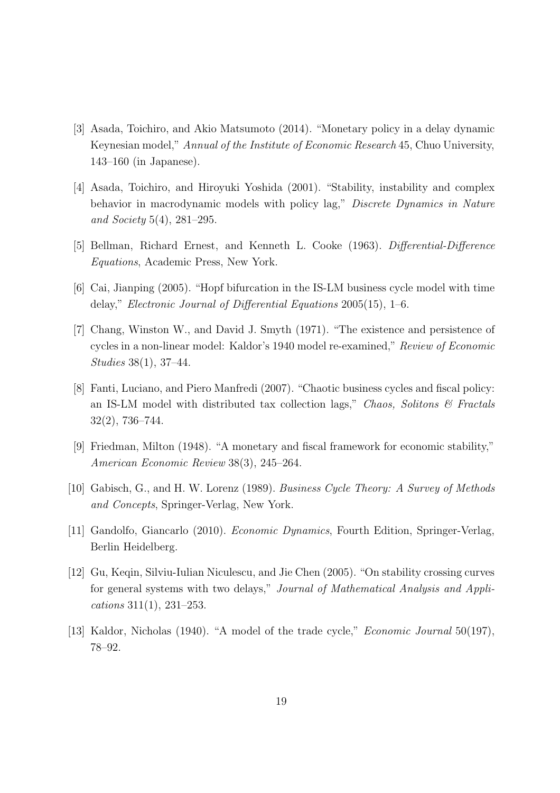- [3] Asada, Toichiro, and Akio Matsumoto (2014). "Monetary policy in a delay dynamic Keynesian model," Annual of the Institute of Economic Research 45, Chuo University, 143–160 (in Japanese).
- [4] Asada, Toichiro, and Hiroyuki Yoshida (2001). "Stability, instability and complex behavior in macrodynamic models with policy lag," Discrete Dynamics in Nature and Society 5(4), 281–295.
- [5] Bellman, Richard Ernest, and Kenneth L. Cooke (1963). Differential-Difference Equations, Academic Press, New York.
- [6] Cai, Jianping (2005). "Hopf bifurcation in the IS-LM business cycle model with time delay," Electronic Journal of Differential Equations 2005(15), 1–6.
- [7] Chang, Winston W., and David J. Smyth (1971). "The existence and persistence of cycles in a non-linear model: Kaldor's 1940 model re-examined," Review of Economic Studies 38(1), 37–44.
- [8] Fanti, Luciano, and Piero Manfredi (2007). "Chaotic business cycles and fiscal policy: an IS-LM model with distributed tax collection lags," Chaos, Solitons  $\mathcal C$  Fractals 32(2), 736–744.
- [9] Friedman, Milton (1948). "A monetary and fiscal framework for economic stability," American Economic Review 38(3), 245–264.
- [10] Gabisch, G., and H. W. Lorenz (1989). Business Cycle Theory: A Survey of Methods and Concepts, Springer-Verlag, New York.
- [11] Gandolfo, Giancarlo (2010). Economic Dynamics, Fourth Edition, Springer-Verlag, Berlin Heidelberg.
- [12] Gu, Keqin, Silviu-Iulian Niculescu, and Jie Chen (2005). "On stability crossing curves for general systems with two delays," Journal of Mathematical Analysis and Applications 311(1), 231–253.
- [13] Kaldor, Nicholas (1940). "A model of the trade cycle," *Economic Journal* 50(197), 78–92.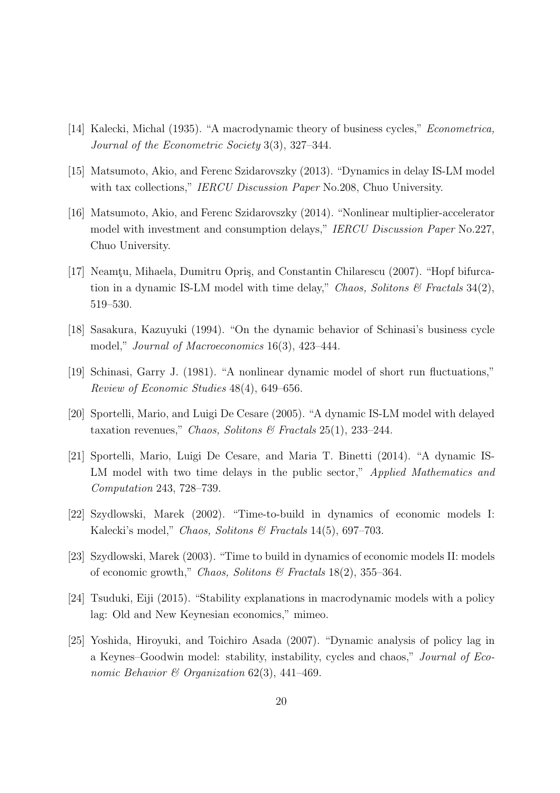- [14] Kalecki, Michal (1935). "A macrodynamic theory of business cycles," *Econometrica*, Journal of the Econometric Society 3(3), 327–344.
- [15] Matsumoto, Akio, and Ferenc Szidarovszky (2013). "Dynamics in delay IS-LM model with tax collections," IERCU Discussion Paper No. 208, Chuo University.
- [16] Matsumoto, Akio, and Ferenc Szidarovszky (2014). "Nonlinear multiplier-accelerator model with investment and consumption delays," IERCU Discussion Paper No.227, Chuo University.
- [17] Neamtu, Mihaela, Dumitru Opris, and Constantin Chilarescu (2007). "Hopf bifurcation in a dynamic IS-LM model with time delay," Chaos, Solitons  $\mathcal C$  Fractals 34(2), 519–530.
- [18] Sasakura, Kazuyuki (1994). "On the dynamic behavior of Schinasi's business cycle model," Journal of Macroeconomics 16(3), 423–444.
- [19] Schinasi, Garry J. (1981). "A nonlinear dynamic model of short run fluctuations," Review of Economic Studies 48(4), 649–656.
- [20] Sportelli, Mario, and Luigi De Cesare (2005). "A dynamic IS-LM model with delayed taxation revenues," Chaos, Solitons & Fractals  $25(1)$ ,  $233-244$ .
- [21] Sportelli, Mario, Luigi De Cesare, and Maria T. Binetti (2014). "A dynamic IS-LM model with two time delays in the public sector," *Applied Mathematics and* Computation 243, 728–739.
- [22] Szydlowski, Marek (2002). "Time-to-build in dynamics of economic models I: Kalecki's model," Chaos, Solitons & Fractals 14(5), 697-703.
- [23] Szydlowski, Marek (2003). "Time to build in dynamics of economic models II: models of economic growth," Chaos, Solitons & Fractals 18(2), 355–364.
- [24] Tsuduki, Eiji (2015). "Stability explanations in macrodynamic models with a policy lag: Old and New Keynesian economics," mimeo.
- [25] Yoshida, Hiroyuki, and Toichiro Asada (2007). "Dynamic analysis of policy lag in a Keynes–Goodwin model: stability, instability, cycles and chaos," Journal of Economic Behavior & Organization  $62(3)$ , 441-469.